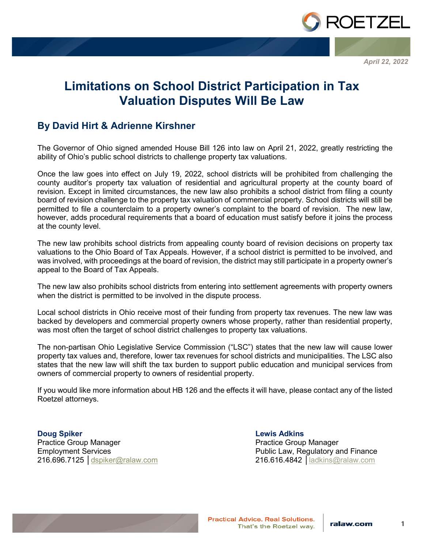

*April 22, 2022*

## **Limitations on School District Participation in Tax Valuation Disputes Will Be Law**

## **By David Hirt & Adrienne Kirshner**

The Governor of Ohio signed amended House Bill 126 into law on April 21, 2022, greatly restricting the ability of Ohio's public school districts to challenge property tax valuations.

Once the law goes into effect on July 19, 2022, school districts will be prohibited from challenging the county auditor's property tax valuation of residential and agricultural property at the county board of revision. Except in limited circumstances, the new law also prohibits a school district from filing a county board of revision challenge to the property tax valuation of commercial property. School districts will still be permitted to file a counterclaim to a property owner's complaint to the board of revision. The new law, however, adds procedural requirements that a board of education must satisfy before it joins the process at the county level.

The new law prohibits school districts from appealing county board of revision decisions on property tax valuations to the Ohio Board of Tax Appeals. However, if a school district is permitted to be involved, and was involved, with proceedings at the board of revision, the district may still participate in a property owner's appeal to the Board of Tax Appeals.

The new law also prohibits school districts from entering into settlement agreements with property owners when the district is permitted to be involved in the dispute process.

Local school districts in Ohio receive most of their funding from property tax revenues. The new law was backed by developers and commercial property owners whose property, rather than residential property, was most often the target of school district challenges to property tax valuations.

The non-partisan Ohio Legislative Service Commission ("LSC") states that the new law will cause lower property tax values and, therefore, lower tax revenues for school districts and municipalities. The LSC also states that the new law will shift the tax burden to support public education and municipal services from owners of commercial property to owners of residential property.

If you would like more information about HB 126 and the effects it will have, please contact any of the listed Roetzel attorneys.

**Doug Spiker** Practice Group Manager Employment Services 216.696.7125 │[dspiker@ralaw.com](mailto:dspiker@ralaw.com)

**Lewis Adkins** Practice Group Manager Public Law, Regulatory and Finance 216.616.4842 │[ladkins@ralaw.com](mailto:ladkins@ralaw.com)



**Practical Advice, Real Solutions.** That's the Roetzel way.